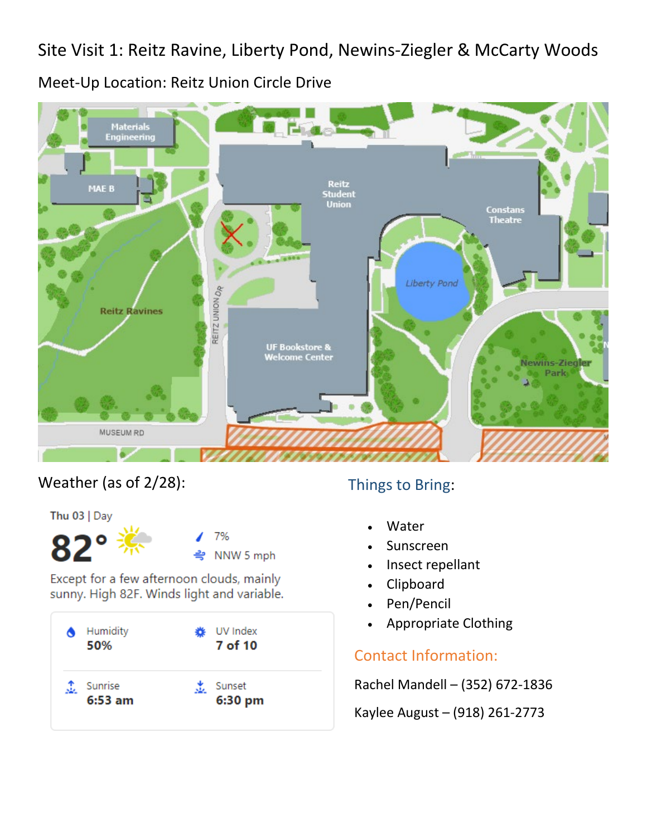Site Visit 1: Reitz Ravine, Liberty Pond, Newins-Ziegler & McCarty Woods

Meet-Up Location: Reitz Union Circle Drive



### Weather (as of 2/28): Things to Bring:

Thu  $03$  | Day 7% NNW 5 mph

Except for a few afternoon clouds, mainly sunny. High 82F. Winds light and variable.



- **Water**
- **Sunscreen**
- Insect repellant
- **Clipboard**
- Pen/Pencil
- Appropriate Clothing

### Contact Information:

Rachel Mandell – (352) 672-1836

Kaylee August – (918) 261-2773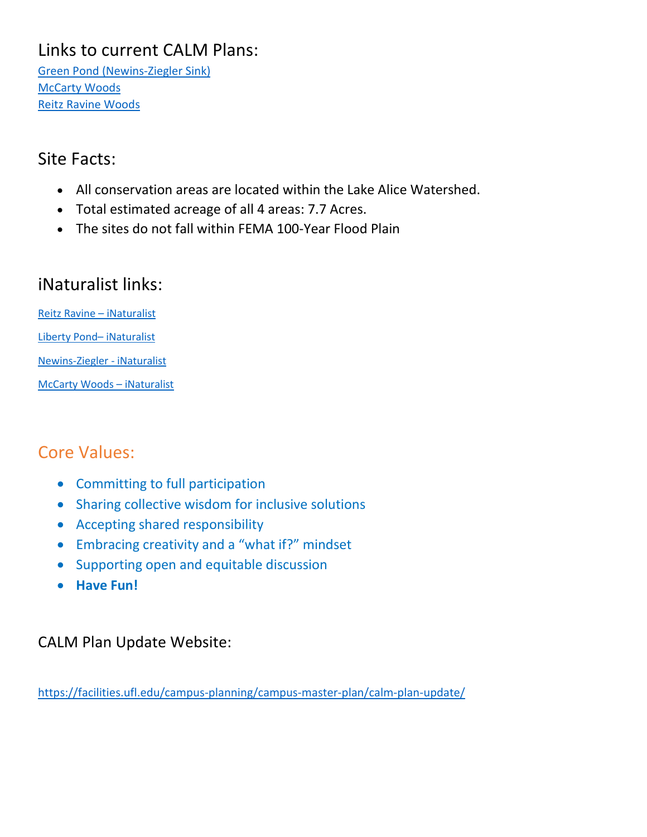# Links to current CALM Plans:

[Green Pond \(Newins-Ziegler Sink\)](https://facilities.ufl.edu/wp-content/uploads/plan/docs/calm/greenpond_nz/green_pond.pdf) [McCarty Woods](https://facilities.ufl.edu/wp-content/uploads/plan/docs/calm/mccarty_woods/mccarty_woods.pdf) [Reitz Ravine Woods](https://facilities.ufl.edu/wp-content/uploads/plan/docs/calm/reitz_ravine/reitz_ravine.pdf)

#### Site Facts:

- All conservation areas are located within the Lake Alice Watershed.
- Total estimated acreage of all 4 areas: 7.7 Acres.
- The sites do not fall within FEMA 100-Year Flood Plain

# iNaturalist links:

[Reitz Ravine –](https://www.inaturalist.org/observations?place_id=140752&subview=map) iNaturalist [Liberty Pond–](https://www.inaturalist.org/observations?place_id=140761&subview=map) iNaturalist [Newins-Ziegler -](https://www.inaturalist.org/observations?nelat=29.64689243029149&nelng=-82.34435601970848&place_id=any&subview=map&swlat=29.64419446970849&swlng=-82.3470539802915) iNaturalist [McCarty Woods –](https://www.inaturalist.org/observations?place_id=138850&subview=map) iNaturalist

# Core Values:

- Committing to full participation
- Sharing collective wisdom for inclusive solutions
- Accepting shared responsibility
- Embracing creativity and a "what if?" mindset
- Supporting open and equitable discussion
- **Have Fun!**

### CALM Plan Update Website:

<https://facilities.ufl.edu/campus-planning/campus-master-plan/calm-plan-update/>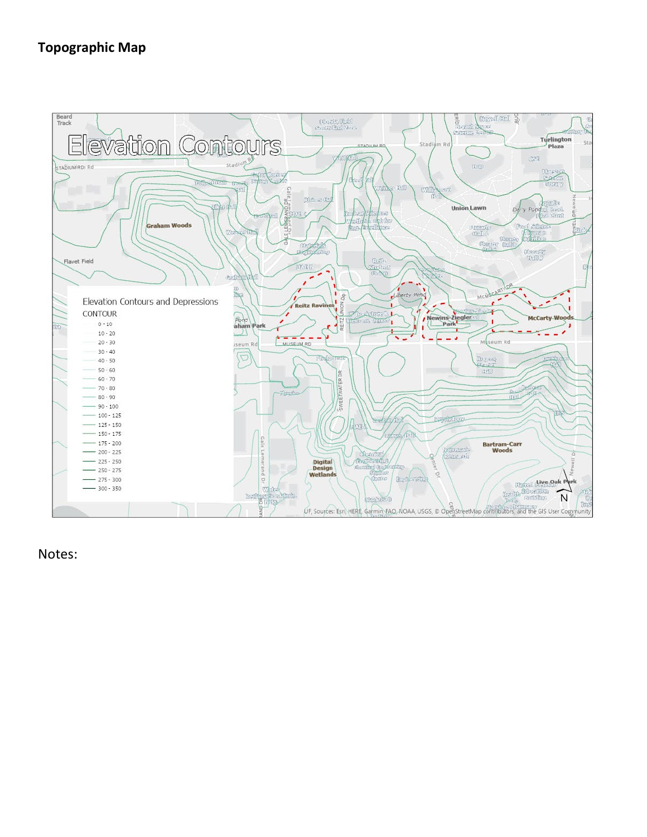#### **Topographic Map**

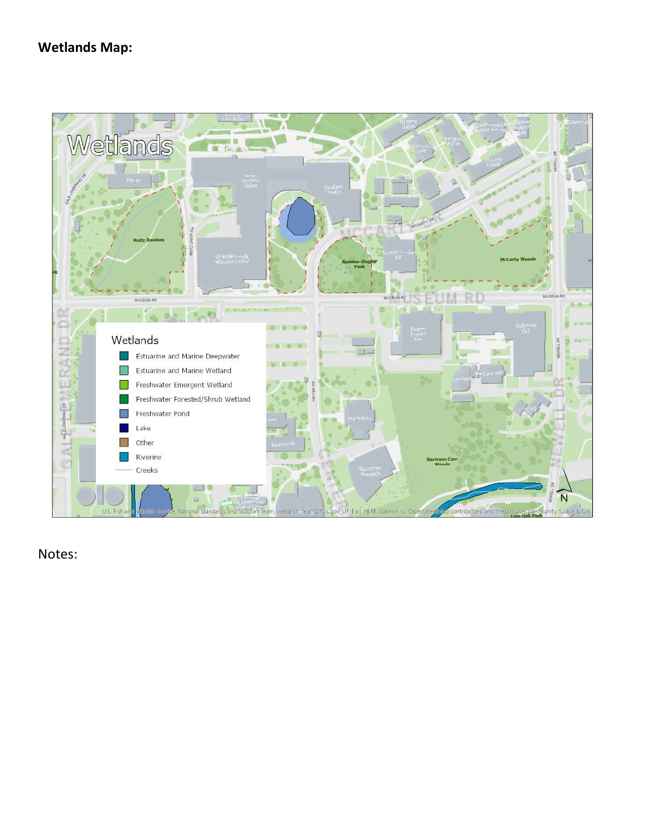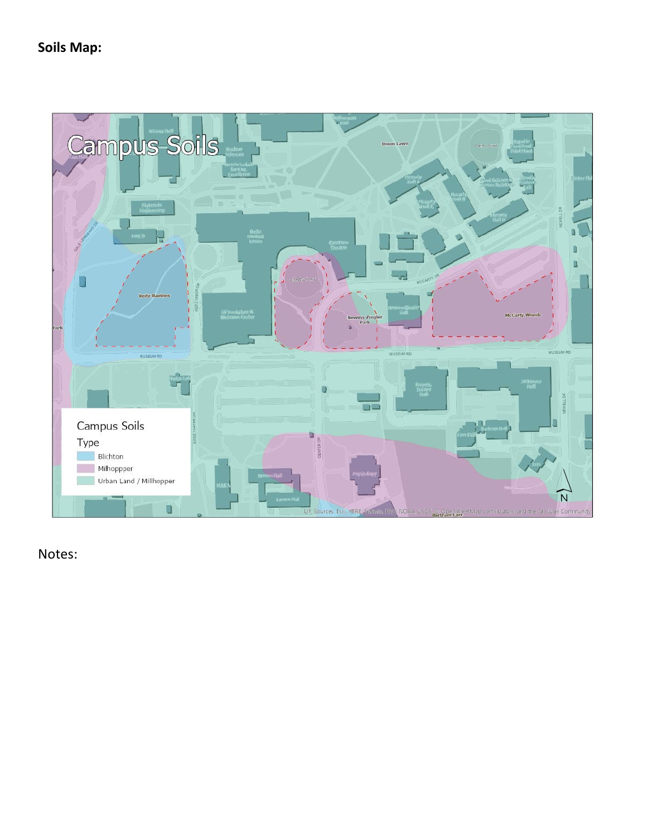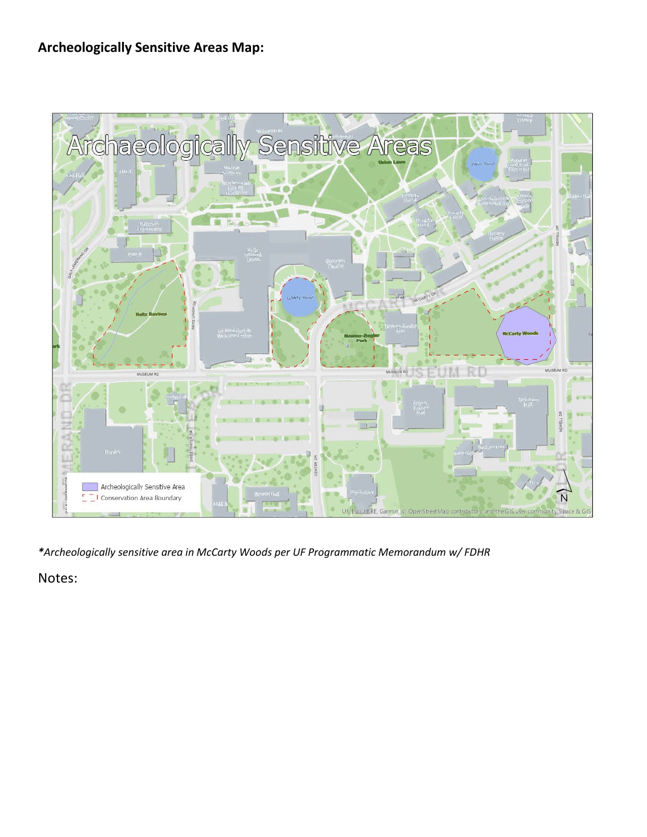#### **Archeologically Sensitive Areas Map:**



*\*Archeologically sensitive area in McCarty Woods per UF Programmatic Memorandum w/ FDHR*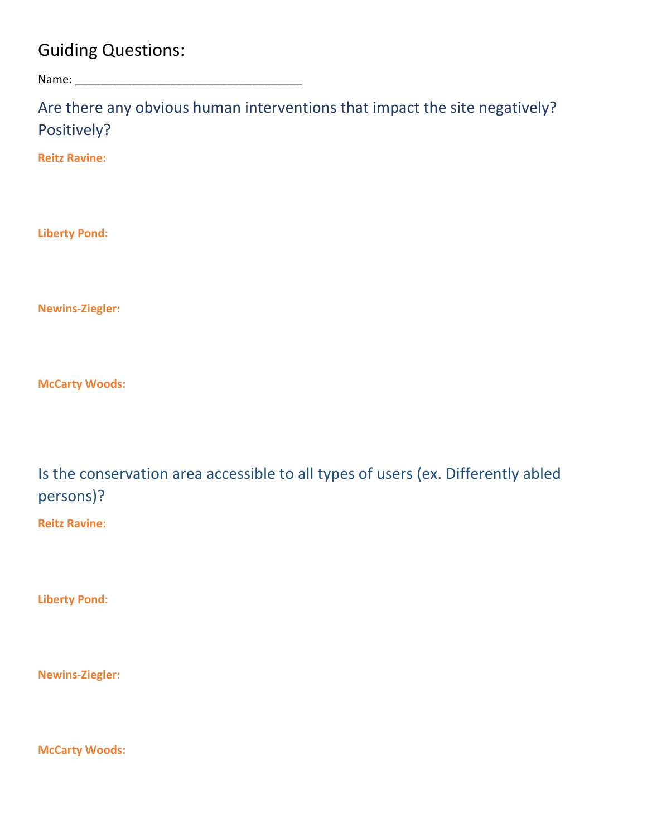## Guiding Questions:

Name:

Are there any obvious human interventions that impact the site negatively? Positively?

**Reitz Ravine:**

**Liberty Pond:**

**Newins-Ziegler:**

**McCarty Woods:**

Is the conservation area accessible to all types of users (ex. Differently abled persons)?

**Reitz Ravine:**

**Liberty Pond:**

**Newins-Ziegler:**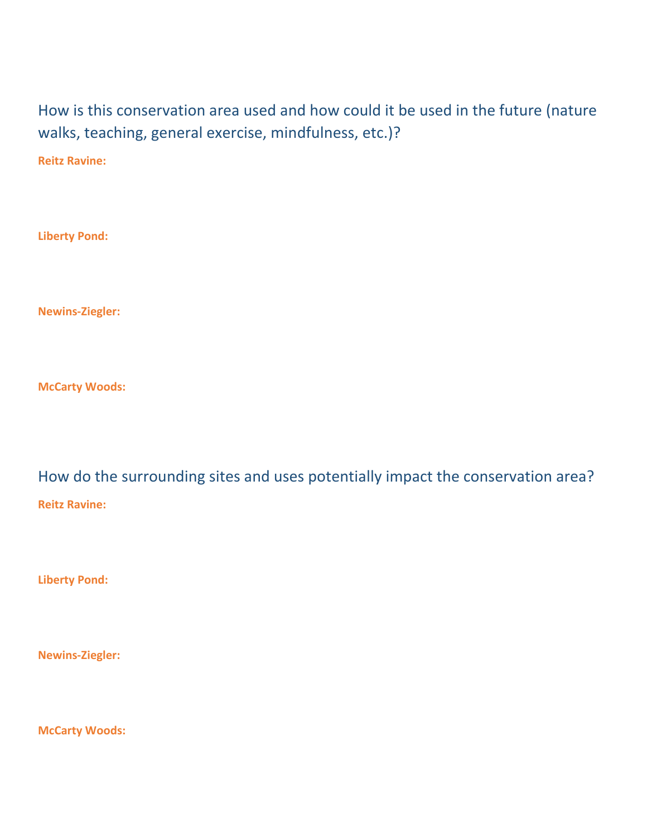How is this conservation area used and how could it be used in the future (nature walks, teaching, general exercise, mindfulness, etc.)?

**Reitz Ravine:**

**Liberty Pond:**

**Newins-Ziegler:**

**McCarty Woods:**

How do the surrounding sites and uses potentially impact the conservation area? **Reitz Ravine:**

**Liberty Pond:**

**Newins-Ziegler:**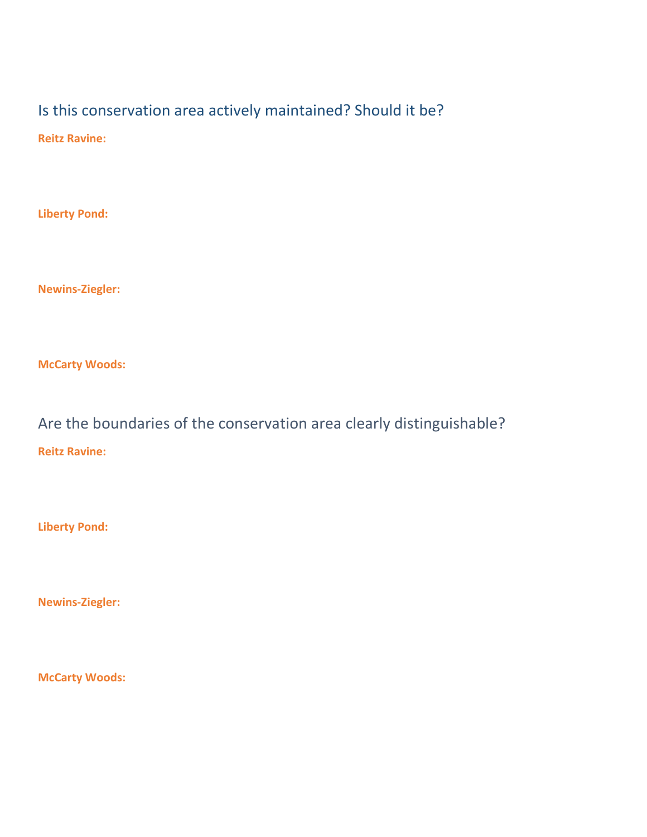## Is this conservation area actively maintained? Should it be?

**Reitz Ravine:**

**Liberty Pond:**

**Newins-Ziegler:**

**McCarty Woods:**

Are the boundaries of the conservation area clearly distinguishable? **Reitz Ravine:**

**Liberty Pond:**

**Newins-Ziegler:**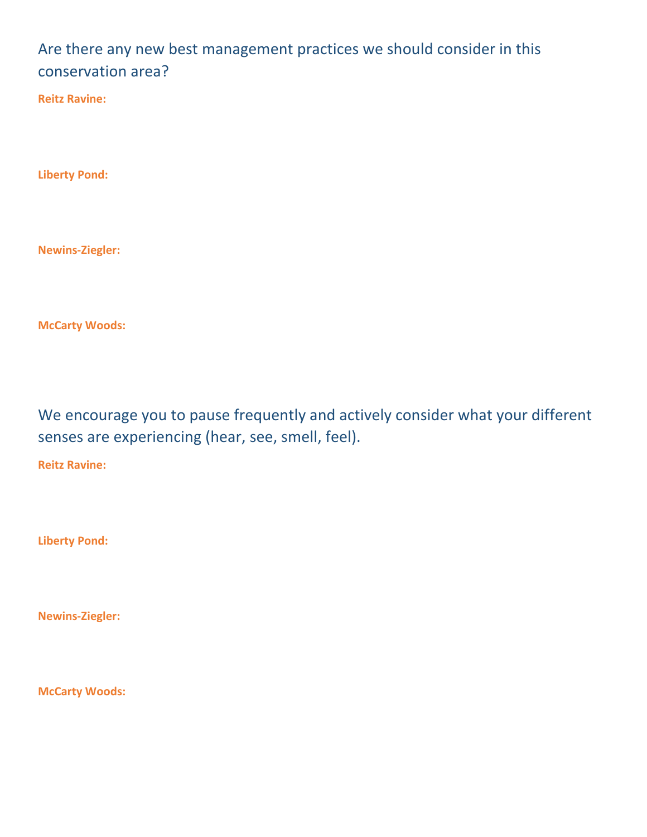## Are there any new best management practices we should consider in this conservation area?

**Reitz Ravine:**

**Liberty Pond:**

**Newins-Ziegler:**

**McCarty Woods:**

We encourage you to pause frequently and actively consider what your different senses are experiencing (hear, see, smell, feel).

**Reitz Ravine:**

**Liberty Pond:**

**Newins-Ziegler:**